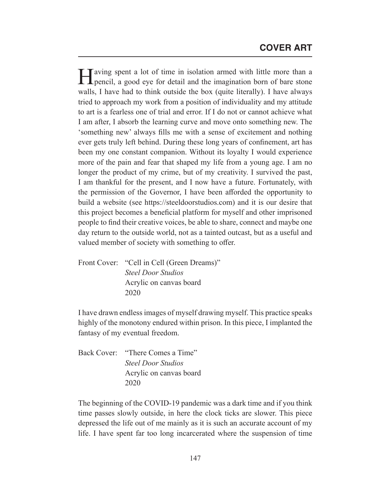Having spent a lot of time in isolation armed with little more than a pencil, a good eye for detail and the imagination born of bare stone walls, I have had to think outside the box (quite literally). I have always tried to approach my work from a position of individuality and my attitude to art is a fearless one of trial and error. If I do not or cannot achieve what I am after, I absorb the learning curve and move onto something new. The 'something new' always fills me with a sense of excitement and nothing ever gets truly left behind. During these long years of confinement, art has been my one constant companion. Without its loyalty I would experience more of the pain and fear that shaped my life from a young age. I am no longer the product of my crime, but of my creativity. I survived the past, I am thankful for the present, and I now have a future. Fortunately, with the permission of the Governor, I have been afforded the opportunity to build a website (see https://steeldoorstudios.com) and it is our desire that this project becomes a beneficial platform for myself and other imprisoned people to find their creative voices, be able to share, connect and maybe one day return to the outside world, not as a tainted outcast, but as a useful and valued member of society with something to offer.

Front Cover: "Cell in Cell (Green Dreams)"  *Steel Door Studios* Acrylic on canvas board 2020

I have drawn endless images of myself drawing myself. This practice speaks highly of the monotony endured within prison. In this piece, I implanted the fantasy of my eventual freedom.

Back Cover: "There Comes a Time"  *Steel Door Studios* Acrylic on canvas board 2020

The beginning of the COVID-19 pandemic was a dark time and if you think time passes slowly outside, in here the clock ticks are slower. This piece depressed the life out of me mainly as it is such an accurate account of my life. I have spent far too long incarcerated where the suspension of time